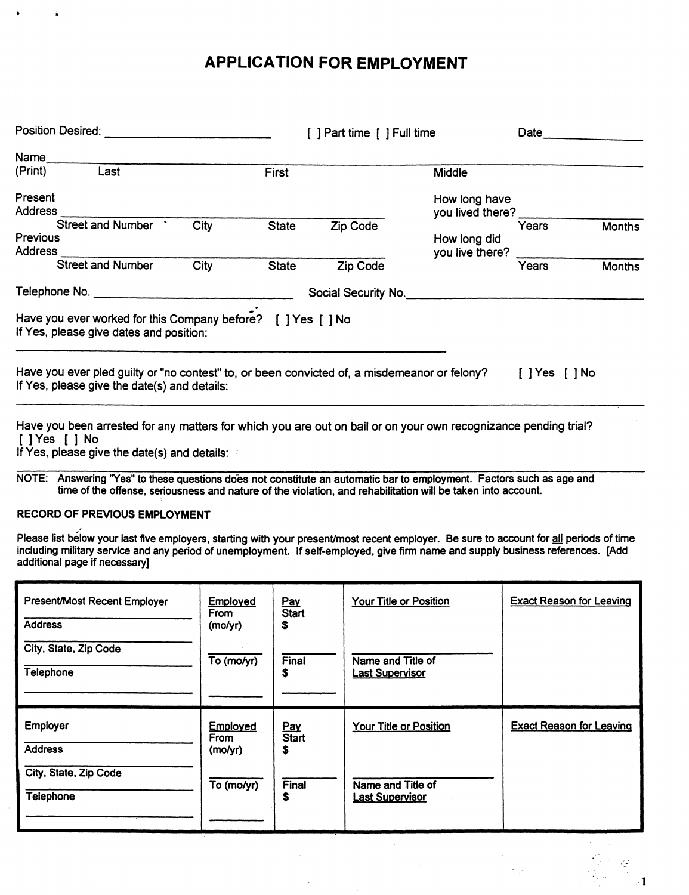# **APPLICATION FOR EMPLOYMENT**

| [ ] Part time [ ] Full time | Date                                                         |                                                                                                                 |                  |
|-----------------------------|--------------------------------------------------------------|-----------------------------------------------------------------------------------------------------------------|------------------|
|                             |                                                              |                                                                                                                 |                  |
|                             | Middle                                                       |                                                                                                                 |                  |
|                             | How long have                                                |                                                                                                                 |                  |
| Zip Code                    | How long did                                                 | Years                                                                                                           | <b>Months</b>    |
| Zip Code                    |                                                              | Years                                                                                                           | <b>Months</b>    |
| Social Security No.         |                                                              |                                                                                                                 |                  |
|                             |                                                              |                                                                                                                 |                  |
|                             |                                                              | $[$ $]$ Yes $[$ $]$ No                                                                                          |                  |
|                             | Have you ever worked for this Company before? [ ] Yes [ ] No | you live there?<br>Have you ever pled guilty or "no contest" to, or been convicted of, a misdemeanor or felony? | you lived there? |

Have you been arrested for any matters for which you are out on bail or on your own recognizance pending trial? [ J Yes [ ] No

If Yes, please give the date(s) and details:

NOTE: Answering "Yes" to these questions does not constitute an automatic bar to employment. Factors such as age and time of the offense, seriousness and nature of the violation, and rehabilitation will be taken into account.

### RECORD OF PREVIOUS EMPLOYMENT

Please list below your last five employers, starting with your present/most recent employer. Be sure to account for <u>all</u> periods of time including military service and any period of unemployment. If self-employed, give firm name and supply business references. (Add additional page if necessary]

| <b>Present/Most Recent Employer</b><br><b>Address</b> | <b>Employed</b><br>From<br>(mo/yr) | Pay<br><b>Start</b><br>\$ | Your Title or Position                      | <b>Exact Reason for Leaving</b> |
|-------------------------------------------------------|------------------------------------|---------------------------|---------------------------------------------|---------------------------------|
| City, State, Zip Code<br>Telephone                    | To (mo/yr)                         | Final<br>\$               | Name and Title of<br><b>Last Supervisor</b> |                                 |
| Employer<br><b>Address</b>                            | Employed<br>From<br>(mo/yr)        | Pay<br><b>Start</b><br>\$ | <b>Your Title or Position</b>               | <b>Exact Reason for Leaving</b> |
| City, State, Zip Code<br>Telephone                    | To (mo/yr)                         | Final<br>\$               | Name and Title of<br><b>Last Supervisor</b> |                                 |

.· 1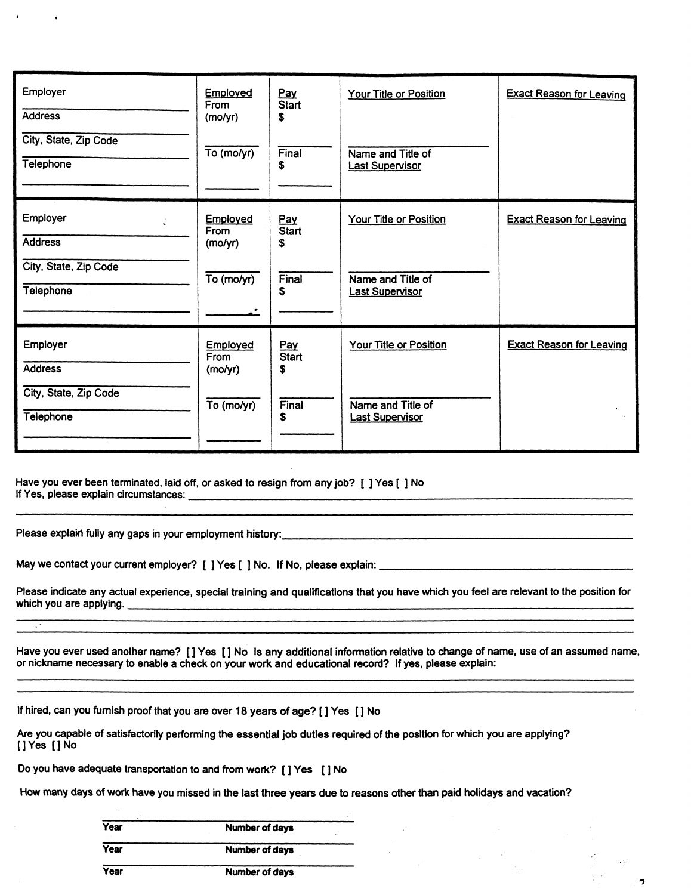| Employer<br><b>Address</b>         | Employed<br>From<br>(mo/yr) | Pay<br><b>Start</b><br>\$ | Your Title or Position                      | <b>Exact Reason for Leaving</b> |
|------------------------------------|-----------------------------|---------------------------|---------------------------------------------|---------------------------------|
| City, State, Zip Code<br>Telephone | To (mo/yr)                  | Final<br>S                | Name and Title of<br><b>Last Supervisor</b> |                                 |
| Employer<br><b>Address</b>         | Employed<br>From<br>(molyr) | Pay<br><b>Start</b><br>\$ | Your Title or Position                      | <b>Exact Reason for Leaving</b> |
| City, State, Zip Code<br>Telephone | To (mo/yr)                  | Final<br>s                | Name and Title of<br><b>Last Supervisor</b> |                                 |
| <b>Employer</b><br><b>Address</b>  | Employed<br>From<br>(mo/yr) | Pay<br><b>Start</b><br>s  | Your Title or Position                      | <b>Exact Reason for Leaving</b> |
| City, State, Zip Code<br>Telephone | To (mo/yr)                  | Final<br>\$               | Name and Title of<br><b>Last Supervisor</b> |                                 |

Have you ever been terminated, laid off, or asked to resign from any job? [ ] Yes [ ] No If Yes, please explain circumstances:---------------------------------

Please explain fully any gaps in your employment history: \_\_\_\_\_\_\_\_\_\_\_\_\_\_\_\_\_\_\_\_\_\_\_\_ \_

 $\ddot{\phantom{a}}$ 

May we contact your current employer? [ ] Yes [ ] No. If No, please explain:------------------

Please indicate any actual experience, special training and qualifications that you have which you feel are relevant to the position for which you are applying.--------------------------------------

Have you ever used another name? []Yes [] No Is any additional information relative to change of name, use of an assumed name, or nickname necessary to enable a check on your work and educational record? If yes, please explain:

 $\sim$   $\sim$ 

າ

If hired, can you furnish proof that you are over 18 years of age? [] Yes [] No

Are you capable of satisfactorily performing the essential job duties required of the position for which you are applying? []Yes (]No

Do you have adequate transportation to and from work? [] Yes [] No

How many days of work have you missed in the last three years due to reasons other than paid holidays and vacation?

| Year | Number of days        |  |
|------|-----------------------|--|
| Year | <b>Number of days</b> |  |
| Year | Number of days        |  |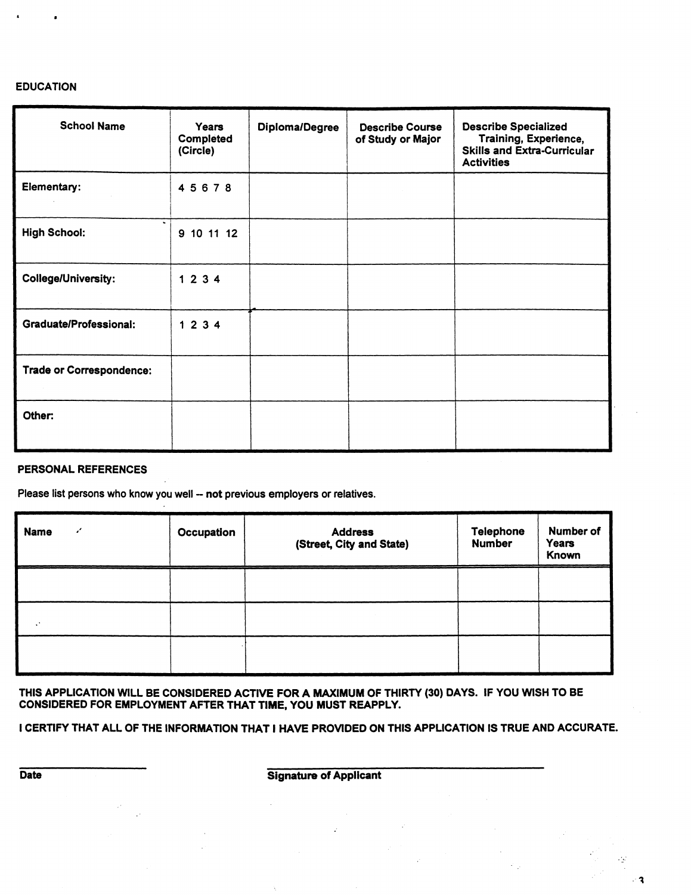### EDUCATION

| <b>School Name</b>                    | Years<br>Completed<br>(Circle) | <b>Diploma/Degree</b> | <b>Describe Course</b><br>of Study or Major | <b>Describe Specialized</b><br>Training, Experience,<br><b>Skills and Extra-Curricular</b><br><b>Activities</b> |
|---------------------------------------|--------------------------------|-----------------------|---------------------------------------------|-----------------------------------------------------------------------------------------------------------------|
| Elementary:                           | 45678                          |                       |                                             |                                                                                                                 |
| $\blacksquare$<br><b>High School:</b> | 9 10 11 12                     |                       |                                             |                                                                                                                 |
| <b>College/University:</b>            | 1234                           |                       |                                             |                                                                                                                 |
| Graduate/Professional:                | 1234                           |                       |                                             |                                                                                                                 |
| <b>Trade or Correspondence:</b>       |                                |                       |                                             |                                                                                                                 |
| Other:                                |                                |                       |                                             |                                                                                                                 |

### PERSONAL REFERENCES

Please list persons who know you well -- not previous employers or relatives.

| <b>Name</b><br>v        | Occupation | <b>Address</b><br>(Street, City and State) | <b>Telephone</b><br><b>Number</b> | Number of<br><b>Years</b><br>Known |
|-------------------------|------------|--------------------------------------------|-----------------------------------|------------------------------------|
|                         |            |                                            |                                   |                                    |
| $\mathcal{L}^{\bullet}$ |            |                                            |                                   |                                    |
|                         |            |                                            |                                   |                                    |

THIS APPLICATION WILL BE CONSIDERED ACTIVE FOR A MAXIMUM OF THIRTY (30) DAYS. IF YOU WISH TO BE CONSIDERED FOR EMPLOYMENT AFTER THAT TIME, YOU MUST REAPPLY.

I CERTIFY THAT ALL OF THE INFORMATION THAT I HAVE PROVIDED ON THIS APPLICATION IS TRUE AND ACCURATE.

Date **Signature of Applicant** 

 $\mathcal{L}_{\mathcal{P}}$